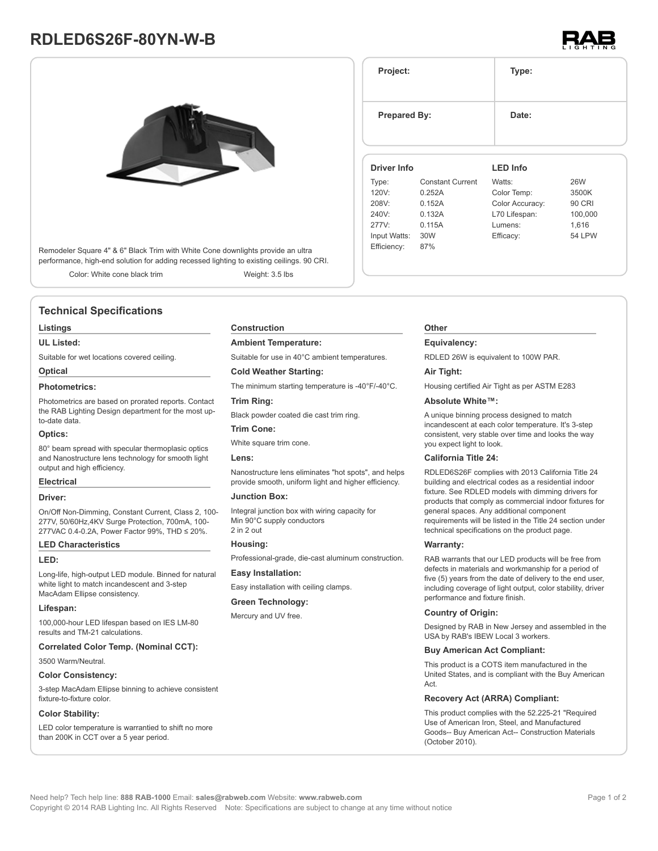# **RDLED6S26F-80YN-W-B**



Remodeler Square 4" & 6" Black Trim with White Cone downlights provide an ultra performance, high-end solution for adding recessed lighting to existing ceilings. 90 CRI.

Color: White cone black trim Weight: 3.5 lbs

# **Technical Specifications**

#### **Listings**

#### **UL Listed:**

Suitable for wet locations covered ceiling.

# **Optical**

## **Photometrics:**

Photometrics are based on prorated reports. Contact the RAB Lighting Design department for the most upto-date data.

#### **Optics:**

80° beam spread with specular thermoplasic optics and Nanostructure lens technology for smooth light output and high efficiency.

#### **Electrical**

#### **Driver:**

On/Off Non-Dimming, Constant Current, Class 2, 100- 277V, 50/60Hz,4KV Surge Protection, 700mA, 100- 277VAC 0.4-0.2A, Power Factor 99%, THD ≤ 20%.

#### **LED Characteristics**

#### **LED:**

Long-life, high-output LED module. Binned for natural white light to match incandescent and 3-step MacAdam Ellipse consistency.

#### **Lifespan:**

100,000-hour LED lifespan based on IES LM-80 results and TM-21 calculations.

#### **Correlated Color Temp. (Nominal CCT):**

3500 Warm/Neutral.

#### **Color Consistency:**

3-step MacAdam Ellipse binning to achieve consistent fixture-to-fixture color.

#### **Color Stability:**

LED color temperature is warrantied to shift no more than 200K in CCT over a 5 year period.

#### **Construction**

#### **Ambient Temperature:**

Suitable for use in 40°C ambient temperatures.

### **Cold Weather Starting:**

The minimum starting temperature is -40°F/-40°C.

#### **Trim Ring:**

Black powder coated die cast trim ring.

#### **Trim Cone:**

White square trim cone.

#### **Lens:**

Nanostructure lens eliminates "hot spots", and helps provide smooth, uniform light and higher efficiency.

### **Junction Box:**

Integral junction box with wiring capacity for Min 90°C supply conductors 2 in 2 out

#### **Housing:**

Professional-grade, die-cast aluminum construction.

#### **Easy Installation:**

Easy installation with ceiling clamps.

### **Green Technology:**

Mercury and UV free.

# **Project: Type: Prepared By:** Date: **Driver Info** Type: Constant Current 120V: 0.252A **LED Info** Watts: 26W Color Temp: 3500K

| i ype.       | <b>CONSTANT CUTTER</b> | vvaus.          | ∠∪vv          |
|--------------|------------------------|-----------------|---------------|
| 120V:        | 0.252A                 | Color Temp:     | 3500K         |
| 208V:        | 0.152A                 | Color Accuracy: | <b>90 CRI</b> |
| 240V:        | 0.132A                 | L70 Lifespan:   | 100.000       |
| 277V:        | 0.115A                 | Lumens:         | 1.616         |
| Input Watts: | 30W                    | Efficacy:       | <b>54 LPW</b> |
| Efficiency:  | 87%                    |                 |               |
|              |                        |                 |               |

#### **Other**

#### **Equivalency:**

RDLED 26W is equivalent to 100W PAR.

#### **Air Tight:**

Housing certified Air Tight as per ASTM E283

#### **Absolute White™:**

A unique binning process designed to match incandescent at each color temperature. It's 3-step consistent, very stable over time and looks the way you expect light to look.

#### **California Title 24:**

RDLED6S26F complies with 2013 California Title 24 building and electrical codes as a residential indoor fixture. See RDLED models with dimming drivers for products that comply as commercial indoor fixtures for general spaces. Any additional component requirements will be listed in the Title 24 section under technical specifications on the product page.

#### **Warranty:**

RAB warrants that our LED products will be free from defects in materials and workmanship for a period of five (5) years from the date of delivery to the end user, including coverage of light output, color stability, driver performance and fixture finish.

#### **Country of Origin:**

Designed by RAB in New Jersey and assembled in the USA by RAB's IBEW Local 3 workers.

#### **Buy American Act Compliant:**

This product is a COTS item manufactured in the United States, and is compliant with the Buy American Act.

#### **Recovery Act (ARRA) Compliant:**

This product complies with the 52.225-21 "Required Use of American Iron, Steel, and Manufactured Goods-- Buy American Act-- Construction Materials (October 2010).